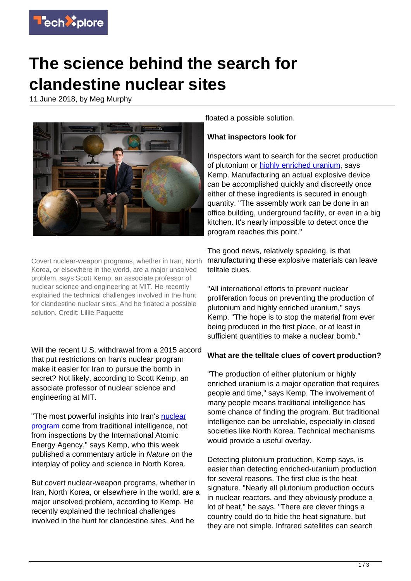

# **The science behind the search for clandestine nuclear sites**

11 June 2018, by Meg Murphy



Covert nuclear-weapon programs, whether in Iran, North Korea, or elsewhere in the world, are a major unsolved problem, says Scott Kemp, an associate professor of nuclear science and engineering at MIT. He recently explained the technical challenges involved in the hunt for clandestine nuclear sites. And he floated a possible solution. Credit: Lillie Paquette

Will the recent U.S. withdrawal from a 2015 accord that put restrictions on Iran's nuclear program make it easier for Iran to pursue the bomb in secret? Not likely, according to Scott Kemp, an associate professor of nuclear science and engineering at MIT.

"The most powerful insights into Iran's [nuclear](https://techxplore.com/tags/nuclear+program/) [program](https://techxplore.com/tags/nuclear+program/) come from traditional intelligence, not from inspections by the International Atomic Energy Agency," says Kemp, who this week published a commentary article in Nature on the interplay of policy and science in North Korea.

But covert nuclear-weapon programs, whether in Iran, North Korea, or elsewhere in the world, are a major unsolved problem, according to Kemp. He recently explained the technical challenges involved in the hunt for clandestine sites. And he

floated a possible solution.

## **What inspectors look for**

Inspectors want to search for the secret production of plutonium or [highly enriched uranium](https://techxplore.com/tags/highly+enriched+uranium/), says Kemp. Manufacturing an actual explosive device can be accomplished quickly and discreetly once either of these ingredients is secured in enough quantity. "The assembly work can be done in an office building, underground facility, or even in a big kitchen. It's nearly impossible to detect once the program reaches this point."

The good news, relatively speaking, is that manufacturing these explosive materials can leave telltale clues.

"All international efforts to prevent nuclear proliferation focus on preventing the production of plutonium and highly enriched uranium," says Kemp. "The hope is to stop the material from ever being produced in the first place, or at least in sufficient quantities to make a nuclear bomb."

# **What are the telltale clues of covert production?**

"The production of either plutonium or highly enriched uranium is a major operation that requires people and time," says Kemp. The involvement of many people means traditional intelligence has some chance of finding the program. But traditional intelligence can be unreliable, especially in closed societies like North Korea. Technical mechanisms would provide a useful overlay.

Detecting plutonium production, Kemp says, is easier than detecting enriched-uranium production for several reasons. The first clue is the heat signature. "Nearly all plutonium production occurs in nuclear reactors, and they obviously produce a lot of heat," he says. "There are clever things a country could do to hide the heat signature, but they are not simple. Infrared satellites can search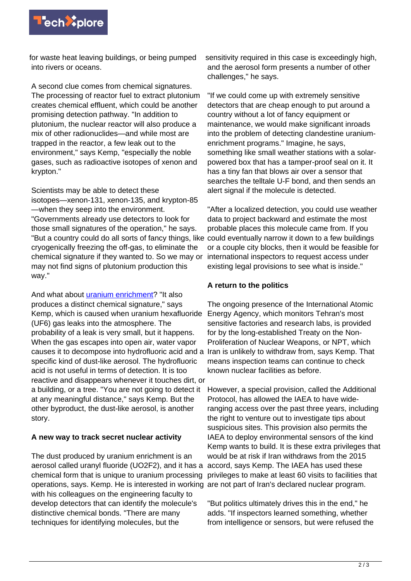

for waste heat leaving buildings, or being pumped into rivers or oceans.

A second clue comes from chemical signatures. The processing of reactor fuel to extract plutonium creates chemical effluent, which could be another promising detection pathway. "In addition to plutonium, the nuclear reactor will also produce a mix of other radionuclides—and while most are trapped in the reactor, a few leak out to the environment," says Kemp, "especially the noble gases, such as radioactive isotopes of xenon and krypton."

Scientists may be able to detect these isotopes—xenon-131, xenon-135, and krypton-85 —when they seep into the environment. "Governments already use detectors to look for those small signatures of the operation," he says. "But a country could do all sorts of fancy things, like could eventually narrow it down to a few buildings cryogenically freezing the off-gas, to eliminate the chemical signature if they wanted to. So we may or may not find signs of plutonium production this way."

And what about *[uranium enrichment](https://techxplore.com/tags/uranium+enrichment/)*? "It also produces a distinct chemical signature," says Kemp, which is caused when uranium hexafluoride (UF6) gas leaks into the atmosphere. The probability of a leak is very small, but it happens. When the gas escapes into open air, water vapor causes it to decompose into hydrofluoric acid and a Iran is unlikely to withdraw from, says Kemp. That specific kind of dust-like aerosol. The hydrofluoric acid is not useful in terms of detection. It is too reactive and disappears whenever it touches dirt, or a building, or a tree. "You are not going to detect it at any meaningful distance," says Kemp. But the other byproduct, the dust-like aerosol, is another story.

#### **A new way to track secret nuclear activity**

The dust produced by uranium enrichment is an aerosol called uranyl fluoride (UO2F2), and it has a chemical form that is unique to uranium processing operations, says. Kemp. He is interested in working are not part of Iran's declared nuclear program. with his colleagues on the engineering faculty to develop detectors that can identify the molecule's distinctive chemical bonds. "There are many techniques for identifying molecules, but the

sensitivity required in this case is exceedingly high, and the aerosol form presents a number of other challenges," he says.

"If we could come up with extremely sensitive detectors that are cheap enough to put around a country without a lot of fancy equipment or maintenance, we would make significant inroads into the problem of detecting clandestine uraniumenrichment programs." Imagine, he says, something like small weather stations with a solarpowered box that has a tamper-proof seal on it. It has a tiny fan that blows air over a sensor that searches the telltale U-F bond, and then sends an alert signal if the molecule is detected.

"After a localized detection, you could use weather data to project backward and estimate the most probable places this molecule came from. If you or a couple city blocks, then it would be feasible for international inspectors to request access under existing legal provisions to see what is inside."

### **A return to the politics**

The ongoing presence of the International Atomic Energy Agency, which monitors Tehran's most sensitive factories and research labs, is provided for by the long-established Treaty on the Non-Proliferation of Nuclear Weapons, or NPT, which means inspection teams can continue to check known nuclear facilities as before.

However, a special provision, called the Additional Protocol, has allowed the IAEA to have wideranging access over the past three years, including the right to venture out to investigate tips about suspicious sites. This provision also permits the IAEA to deploy environmental sensors of the kind Kemp wants to build. It is these extra privileges that would be at risk if Iran withdraws from the 2015 accord, says Kemp. The IAEA has used these privileges to make at least 60 visits to facilities that

"But politics ultimately drives this in the end," he adds. "If inspectors learned something, whether from intelligence or sensors, but were refused the